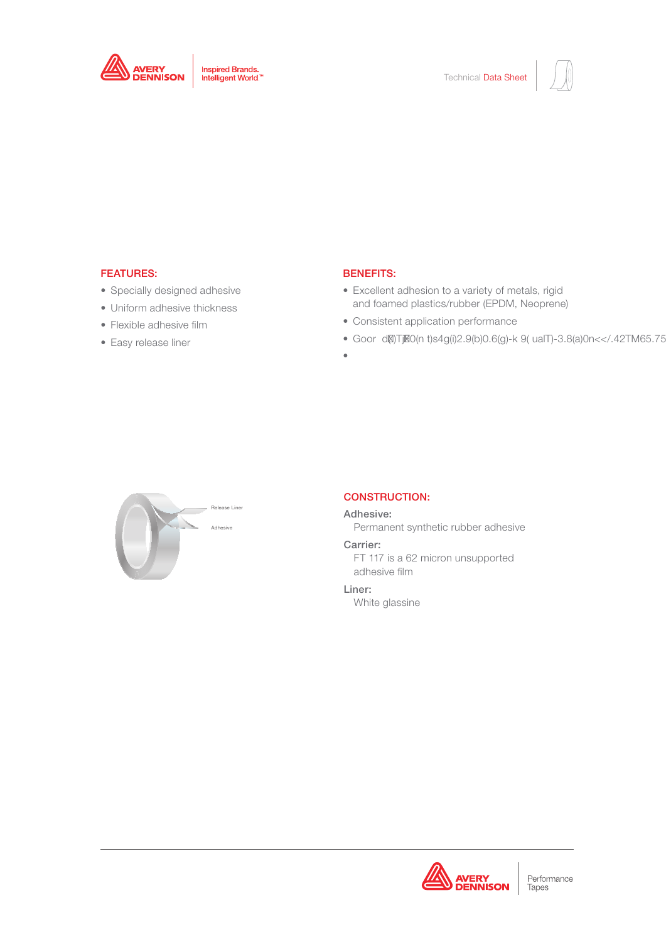



# FT 117

# FEATURES:

- Specially designed adhesive
- Uniform adhesive thickness
- Flexible adhesive film
- Easy release liner

## BENEFITS:

- Excellent adhesion to a variety of metals, rigid and foamed plastics/rubber (EPDM, Neoprene)
- Consistent application performance
- Goor d()TjF0(n t)s4g(i)2.9(b)0.6(g)-k 9( ualT)-3.8(a)0n<</.42TM65.75
- •



## CONSTRUCTION:

#### Adhesive:

Permanent synthetic rubber adhesive

## Carrier:

FT 117 is a 62 micron unsupported adhesive film

# Liner:

White glassine